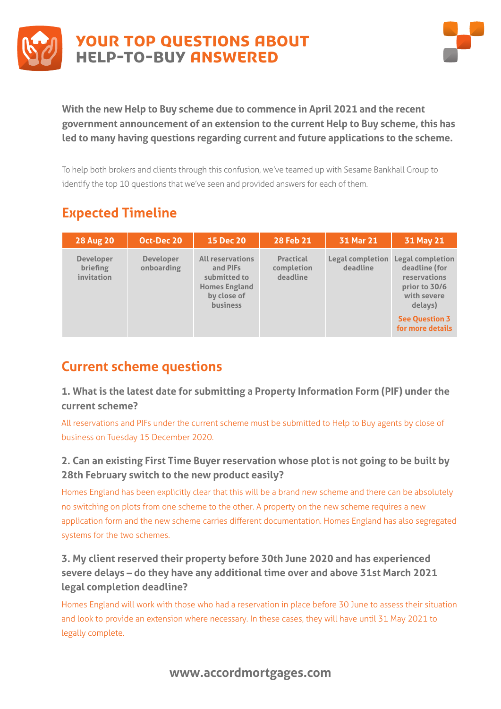



**With the new Help to Buy scheme due to commence in April 2021 and the recent government announcement of an extension to the current Help to Buy scheme, this has led to many having questions regarding current and future applications to the scheme.** 

To help both brokers and clients through this confusion, we've teamed up with Sesame Bankhall Group to identify the top 10 questions that we've seen and provided answers for each of them.

# **Expected Timeline**

| <b>28 Aug 20</b>                                  | Oct-Dec 20                     | <b>15 Dec 20</b>                                                                                              | 28 Feb 21                                  | 31 Mar 21                    | 31 May 21                                                                                    |
|---------------------------------------------------|--------------------------------|---------------------------------------------------------------------------------------------------------------|--------------------------------------------|------------------------------|----------------------------------------------------------------------------------------------|
| <b>Developer</b><br><b>briefing</b><br>invitation | <b>Developer</b><br>onboarding | <b>All reservations</b><br>and PIFs<br>submitted to<br><b>Homes England</b><br>by close of<br><b>business</b> | <b>Practical</b><br>completion<br>deadline | Legal completion<br>deadline | Legal completion<br>deadline (for<br>reservations<br>prior to 30/6<br>with severe<br>delays) |
|                                                   |                                |                                                                                                               |                                            |                              | <b>See Question 3</b><br>for more details                                                    |

## **Current scheme questions**

**1. What is the latest date for submitting a Property Information Form (PIF) under the current scheme?**

All reservations and PIFs under the current scheme must be submitted to Help to Buy agents by close of business on Tuesday 15 December 2020.

### **2. Can an existing First Time Buyer reservation whose plot is not going to be built by 28th February switch to the new product easily?**

Homes England has been explicitly clear that this will be a brand new scheme and there can be absolutely no switching on plots from one scheme to the other. A property on the new scheme requires a new application form and the new scheme carries different documentation. Homes England has also segregated systems for the two schemes.

### **3. My client reserved their property before 30th June 2020 and has experienced severe delays – do they have any additional time over and above 31st March 2021 legal completion deadline?**

Homes England will work with those who had a reservation in place before 30 June to assess their situation and look to provide an extension where necessary. In these cases, they will have until 31 May 2021 to legally complete.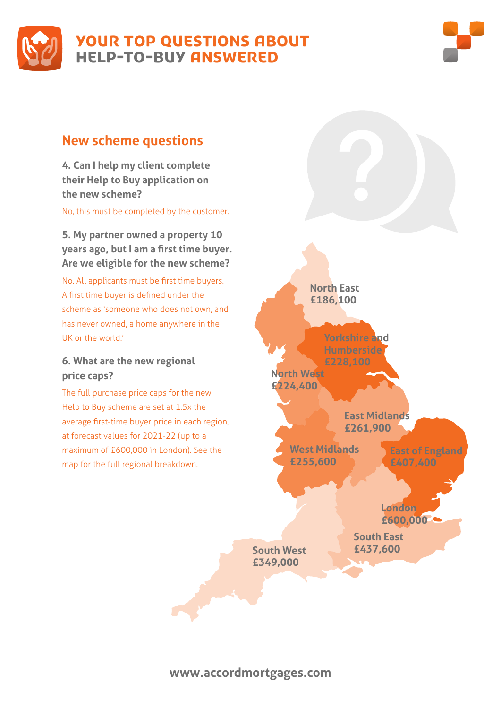



### **New scheme questions**

**4. Can I help my client complete their Help to Buy application on the new scheme?**

No, this must be completed by the customer.

**5. My partner owned a property 10 years ago, but I am a first time buyer. Are we eligible for the new scheme?** 

No. All applicants must be first time buyers. A first time buyer is defined under the scheme as 'someone who does not own, and has never owned, a home anywhere in the UK or the world.'

#### **6. What are the new regional price caps?**

The full purchase price caps for the new Help to Buy scheme are set at 1.5x the average first-time buyer price in each region, at forecast values for 2021-22 (up to a maximum of £600,000 in London). See the map for the full regional breakdown.